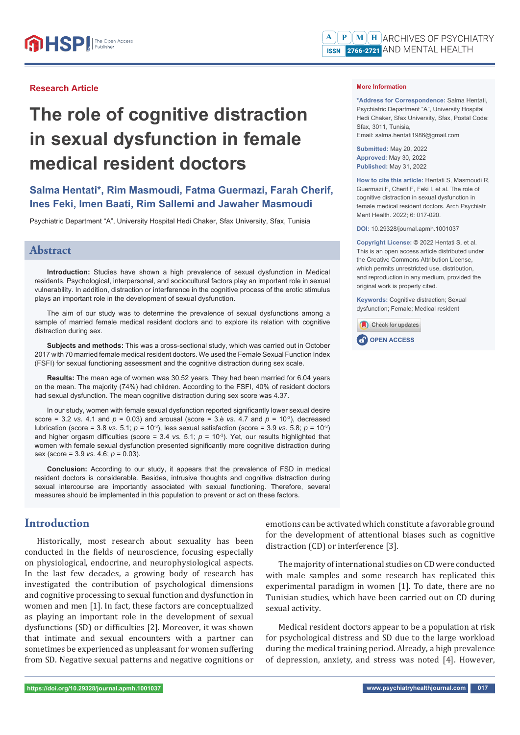## **Research Article**

# **The role of cognitive distraction in sexual dysfunction in female medical resident doctors**

# **Salma Hentati\*, Rim Masmoudi, Fatma Guermazi, Farah Cherif, Ines Feki, Imen Baati, Rim Sallemi and Jawaher Masmoudi**

Psychiatric Department "A", University Hospital Hedi Chaker, Sfax University, Sfax, Tunisia

## **Abstract**

**Introduction:** Studies have shown a high prevalence of sexual dysfunction in Medical residents. Psychological, interpersonal, and sociocultural factors play an important role in sexual vulnerability. In addition, distraction or interference in the cognitive process of the erotic stimulus plays an important role in the development of sexual dysfunction.

The aim of our study was to determine the prevalence of sexual dysfunctions among a sample of married female medical resident doctors and to explore its relation with cognitive distraction during sex.

**Subjects and methods:** This was a cross-sectional study, which was carried out in October 2017 with 70 married female medical resident doctors. We used the Female Sexual Function Index (FSFI) for sexual functioning assessment and the cognitive distraction during sex scale.

**Results:** The mean age of women was 30.52 years. They had been married for 6.04 years on the mean. The majority (74%) had children. According to the FSFI, 40% of resident doctors had sexual dysfunction. The mean cognitive distraction during sex score was 4.37.

In our study, women with female sexual dysfunction reported significantly lower sexual desire score = 3.2 *vs.* 4.1 and  $p = 0.03$  and arousal (score = 3.è *vs.* 4.7 and  $p = 10^{-3}$ ), decreased lubrication (score = 3.8 *vs.* 5.1; *p* = 10-3), less sexual satisfaction (score = 3.9 *vs.* 5.8; *p* = 10-3) and higher orgasm difficulties (score =  $3.4$  *vs.*  $5.1$ ;  $p = 10^{-3}$ ). Yet, our results highlighted that women with female sexual dysfunction presented significantly more cognitive distraction during sex (score = 3.9 *vs.* 4.6; *p* = 0.03).

**Conclusion:** According to our study, it appears that the prevalence of FSD in medical resident doctors is considerable. Besides, intrusive thoughts and cognitive distraction during sexual intercourse are importantly associated with sexual functioning. Therefore, several measures should be implemented in this population to prevent or act on these factors.

# **Introduction**

Historically, most research about sexuality has been conducted in the fields of neuroscience, focusing especially on physiological, endocrine, and neurophysiological aspects. In the last few decades, a growing body of research has investigated the contribution of psychological dimensions and cognitive processing to sexual function and dysfunction in women and men [1]. In fact, these factors are conceptualized as playing an important role in the development of sexual dysfunctions (SD) or difficulties [2]. Moreover, it was shown that intimate and sexual encounters with a partner can sometimes be experienced as unpleasant for women suffering from SD. Negative sexual patterns and negative cognitions or emotions can be activated which constitute a favorable ground for the development of attentional biases such as cognitive distraction (CD) or interference [3].

The majority of international studies on CD were conducted with male samples and some research has replicated this experimental paradigm in women [1]. To date, there are no Tunisian studies, which have been carried out on CD during sexual activity.

Medical resident doctors appear to be a population at risk for psychological distress and SD due to the large workload during the medical training period. Already, a high prevalence of depression, anxiety, and stress was noted [4]. However,

**\*Address for Correspondence:** Salma Hentati, Psychiatric Department "A", University Hospital Hedi Chaker, Sfax University, Sfax, Postal Code: Sfax, 3011, Tunisia, Email: salma.hentati1986@gmail.com

**Submitted:** May 20, 2022 **Approved:** May 30, 2022 **Published:** May 31, 2022

**How to cite this article:** Hentati S, Masmoudi R, Guermazi F, Cherif F, Feki I, et al. The role of cognitive distraction in sexual dysfunction in female medical resident doctors. Arch Psychiatr Ment Health. 2022; 6: 017-020.

**DOI:** 10.29328/journal.apmh.1001037

**Copyright License: ©** 2022 Hentati S, et al. This is an open access article distributed under the Creative Commons Attribution License, which permits unrestricted use, distribution, and reproduction in any medium, provided the original work is properly cited.

**Keywords:** Cognitive distraction; Sexual dysfunction; Female; Medical resident

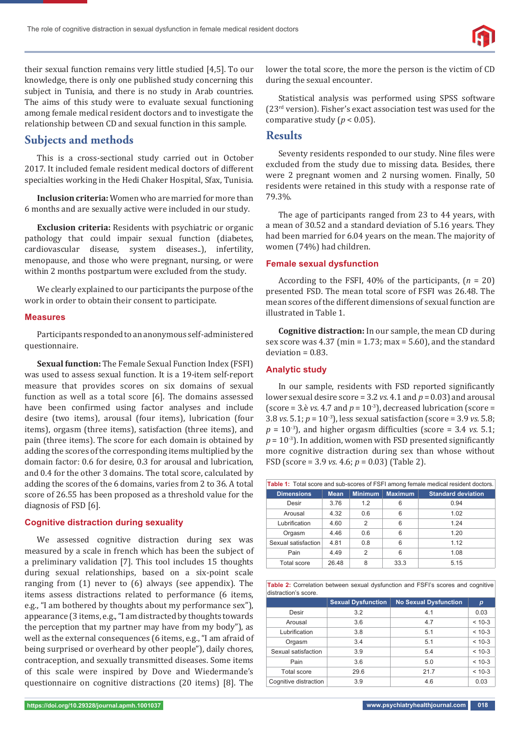

their sexual function remains very little studied [4,5]. To our knowledge, there is only one published study concerning this subject in Tunisia, and there is no study in Arab countries. The aims of this study were to evaluate sexual functioning among female medical resident doctors and to investigate the relationship between CD and sexual function in this sample.

## **Subjects and methods**

This is a cross-sectional study carried out in October 2017. It included female resident medical doctors of different specialties working in the Hedi Chaker Hospital, Sfax, Tunisia.

**Inclusion criteria:** Women who are married for more than 6 months and are sexually active were included in our study.

**Exclusion criteria:** Residents with psychiatric or organic pathology that could impair sexual function (diabetes, cardiovascular disease, system diseases..), infertility, menopause, and those who were pregnant, nursing, or were within 2 months postpartum were excluded from the study.

We clearly explained to our participants the purpose of the work in order to obtain their consent to participate.

#### **Measures**

Participants responded to an anonymous self-administered questionnaire.

**Sexual function:** The Female Sexual Function Index (FSFI) was used to assess sexual function. It is a 19-item self-report measure that provides scores on six domains of sexual function as well as a total score [6]. The domains assessed have been confirmed using factor analyses and include desire (two items), arousal (four items), lubrication (four items), orgasm (three items), satisfaction (three items), and pain (three items). The score for each domain is obtained by adding the scores of the corresponding items multiplied by the domain factor: 0.6 for desire, 0.3 for arousal and lubrication, and 0.4 for the other 3 domains. The total score, calculated by adding the scores of the 6 domains, varies from 2 to 36. A total score of 26.55 has been proposed as a threshold value for the diagnosis of FSD [6].

### **Cognitive distraction during sexuality**

We assessed cognitive distraction during sex was measured by a scale in french which has been the subject of a preliminary validation [7]. This tool includes 15 thoughts during sexual relationships, based on a six-point scale ranging from (1) never to (6) always (see appendix). The items assess distractions related to performance (6 items, e.g., "I am bothered by thoughts about my performance sex"), appearance (3 items, e.g., "I am distracted by thoughts towards the perception that my partner may have from my body"), as well as the external consequences (6 items, e.g., "I am afraid of being surprised or overheard by other people"), daily chores, contraception, and sexually transmitted diseases. Some items of this scale were inspired by Dove and Wiedermande's questionnaire on cognitive distractions (20 items) [8]. The

lower the total score, the more the person is the victim of CD during the sexual encounter.

Statistical analysis was performed using SPSS software (23rd version). Fisher's exact association test was used for the comparative study ( $p < 0.05$ ).

## **Results**

Seventy residents responded to our study. Nine files were excluded from the study due to missing data. Besides, there were 2 pregnant women and 2 nursing women. Finally, 50 residents were retained in this study with a response rate of 79.3%.

The age of participants ranged from 23 to 44 years, with a mean of 30.52 and a standard deviation of 5.16 years. They had been married for 6.04 years on the mean. The majority of women (74%) had children.

#### **Female sexual dysfunction**

According to the FSFI, 40% of the participants, (*n* = 20) presented FSD. The mean total score of FSFI was 26.48. The mean scores of the different dimensions of sexual function are illustrated in Table 1.

**Cognitive distraction:** In our sample, the mean CD during sex score was  $4.37$  (min =  $1.73$ ; max =  $5.60$ ), and the standard deviation = 0.83.

### **Analytic study**

In our sample, residents with FSD reported significantly lower sexual desire score = 3.2 *vs.* 4.1 and *p* = 0.03) and arousal (score = 3.è *vs.* 4.7 and  $p = 10^{-3}$ ), decreased lubrication (score = 3.8 *vs.* 5.1; *p* = 10-3), less sexual satisfaction (score = 3.9 *vs.* 5.8;  $p = 10^{-3}$ ), and higher orgasm difficulties (score = 3.4 *vs.* 5.1;  $p = 10^{-3}$ ). In addition, women with FSD presented significantly more cognitive distraction during sex than whose without FSD (score = 3.9 *vs.* 4.6; *p* = 0.03) (Table 2).

| <b>Table 1:</b> Total score and sub-scores of FSFI among female medical resident doctors. |       |                |                |                           |  |  |
|-------------------------------------------------------------------------------------------|-------|----------------|----------------|---------------------------|--|--|
| <b>Dimensions</b>                                                                         | Mean  | <b>Minimum</b> | <b>Maximum</b> | <b>Standard deviation</b> |  |  |
| Desir                                                                                     | 3.76  | 1.2            | 6              | 0.94                      |  |  |
| Arousal                                                                                   | 4.32  | 0.6            | 6              | 1.02                      |  |  |
| Lubrification                                                                             | 4.60  | $\overline{2}$ | 6              | 1.24                      |  |  |
| Orgasm                                                                                    | 4.46  | 0.6            | 6              | 1.20                      |  |  |
| Sexual satisfaction                                                                       | 4.81  | 0.8            | 6              | 1.12                      |  |  |
| Pain                                                                                      | 4.49  | $\overline{2}$ | 6              | 1.08                      |  |  |
| Total score                                                                               | 26.48 | 8              | 33.3           | 5.15                      |  |  |

**Table 2:** Correlation between sexual dysfunction and FSFI's scores and cognitive distraction's score.

|                       | <b>Sexual Dysfunction</b> | <b>No Sexual Dysfunction</b> | p        |
|-----------------------|---------------------------|------------------------------|----------|
| Desir                 | 3.2                       | 4.1                          | 0.03     |
| Arousal               | 3.6                       | 4.7                          | $< 10-3$ |
| Lubrification         | 3.8                       | 5.1                          | $< 10-3$ |
| Orgasm                | 3.4                       | 5.1                          | $< 10-3$ |
| Sexual satisfaction   | 3.9                       | 5.4                          | $< 10-3$ |
| Pain                  | 3.6                       | 5.0                          | $< 10-3$ |
| Total score           | 29.6                      | 21.7                         | $< 10-3$ |
| Cognitive distraction | 3.9                       | 4.6                          | 0.03     |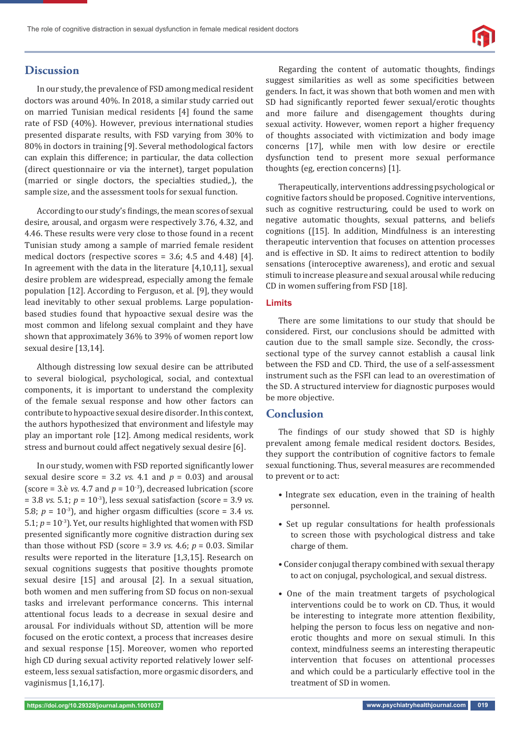

# **Discussion**

In our study, the prevalence of FSD among medical resident doctors was around 40%. In 2018, a similar study carried out on married Tunisian medical residents [4] found the same rate of FSD (40%). However, previous international studies presented disparate results, with FSD varying from 30% to 80% in doctors in training [9]. Several methodological factors can explain this difference; in particular, the data collection (direct questionnaire or via the internet), target population (married or single doctors, the specialties studied,.), the sample size, and the assessment tools for sexual function.

According to our study's findings, the mean scores of sexual desire, arousal, and orgasm were respectively 3.76, 4.32, and 4.46. These results were very close to those found in a recent Tunisian study among a sample of married female resident medical doctors (respective scores = 3.6; 4.5 and 4.48) [4]. In agreement with the data in the literature [4,10,11], sexual desire problem are widespread, especially among the female population [12]. According to Ferguson, et al. [9], they would lead inevitably to other sexual problems. Large populationbased studies found that hypoactive sexual desire was the most common and lifelong sexual complaint and they have shown that approximately 36% to 39% of women report low sexual desire [13,14].

Although distressing low sexual desire can be attributed to several biological, psychological, social, and contextual components, it is important to understand the complexity of the female sexual response and how other factors can contribute to hypoactive sexual desire disorder. In this context, the authors hypothesized that environment and lifestyle may play an important role [12]. Among medical residents, work stress and burnout could affect negatively sexual desire [6].

In our study, women with FSD reported significantly lower sexual desire score = 3.2 *vs.* 4.1 and  $p = 0.03$  and arousal (score = 3.è *vs.* 4.7 and  $p = 10^{-3}$ ), decreased lubrication (score = 3.8 *vs.* 5.1; *p* = 10-3), less sexual satisfaction (score = 3.9 *vs.* 5.8;  $p = 10^{-3}$ ), and higher orgasm difficulties (score = 3.4 *vs.*) 5.1;  $p = 10^{-3}$ ). Yet, our results highlighted that women with FSD presented significantly more cognitive distraction during sex than those without FSD (score =  $3.9$  *vs.*  $4.6$ ;  $p = 0.03$ . Similar results were reported in the literature [1,3,15]. Research on sexual cognitions suggests that positive thoughts promote sexual desire [15] and arousal [2]. In a sexual situation, both women and men suffering from SD focus on non-sexual tasks and irrelevant performance concerns. This internal attentional focus leads to a decrease in sexual desire and arousal. For individuals without SD, attention will be more focused on the erotic context, a process that increases desire and sexual response [15]. Moreover, women who reported high CD during sexual activity reported relatively lower selfesteem, less sexual satisfaction, more orgasmic disorders, and vaginismus [1,16,17].

Regarding the content of automatic thoughts, findings suggest similarities as well as some specificities between genders. In fact, it was shown that both women and men with SD had significantly reported fewer sexual/erotic thoughts and more failure and disengagement thoughts during sexual activity. However, women report a higher frequency of thoughts associated with victimization and body image concerns [17], while men with low desire or erectile dysfunction tend to present more sexual performance thoughts (eg, erection concerns) [1].

Therapeutically, interventions addressing psychological or cognitive factors should be proposed. Cognitive interventions, such as cognitive restructuring, could be used to work on negative automatic thoughts, sexual patterns, and beliefs cognitions ([15]. In addition, Mindfulness is an interesting therapeutic intervention that focuses on attention processes and is effective in SD. It aims to redirect attention to bodily sensations (interoceptive awareness), and erotic and sexual stimuli to increase pleasure and sexual arousal while reducing CD in women suffering from FSD [18].

## **Limits**

There are some limitations to our study that should be considered. First, our conclusions should be admitted with caution due to the small sample size. Secondly, the crosssectional type of the survey cannot establish a causal link between the FSD and CD. Third, the use of a self-assessment instrument such as the FSFI can lead to an overestimation of the SD. A structured interview for diagnostic purposes would be more objective.

## **Conclusion**

The findings of our study showed that SD is highly prevalent among female medical resident doctors. Besides, they support the contribution of cognitive factors to female sexual functioning. Thus, several measures are recommended to prevent or to act:

- Integrate sex education, even in the training of health personnel.
- Set up regular consultations for health professionals to screen those with psychological distress and take charge of them.
- Consider conjugal therapy combined with sexual therapy to act on conjugal, psychological, and sexual distress.
- One of the main treatment targets of psychological interventions could be to work on CD. Thus, it would be interesting to integrate more attention flexibility, helping the person to focus less on negative and nonerotic thoughts and more on sexual stimuli. In this context, mindfulness seems an interesting therapeutic intervention that focuses on attentional processes and which could be a particularly effective tool in the treatment of SD in women.